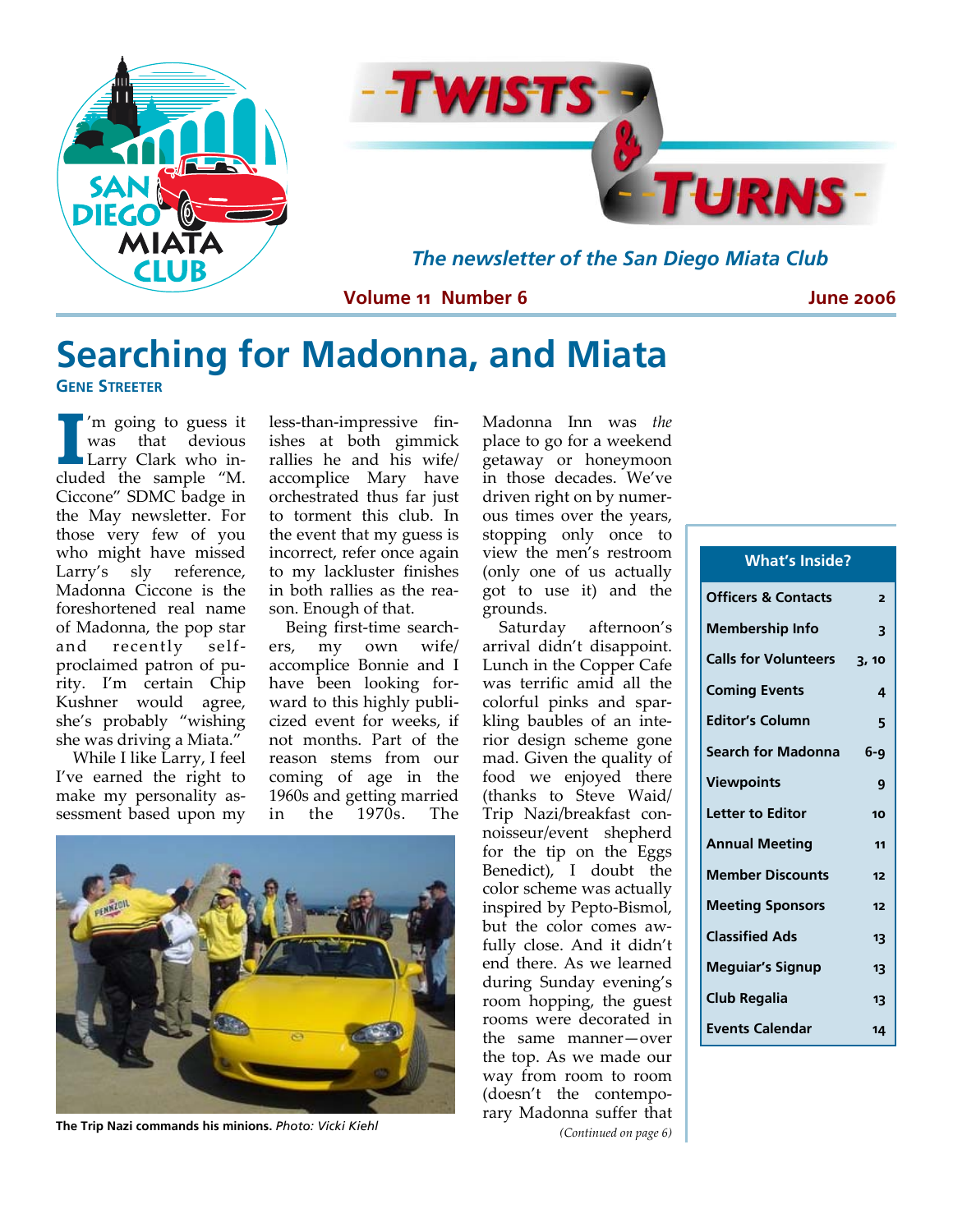

### **Searching for Madonna, and Miata GENE STREETER**

**I** I'm going to guess it<br>
Larry Clark who inwas that devious cluded the sample "M. Ciccone" SDMC badge in the May newsletter. For those very few of you who might have missed Larry's sly reference, Madonna Ciccone is the foreshortened real name of Madonna, the pop star and recently self‐ proclaimed patron of pu‐ rity. I'm certain Chip Kushner would agree, she's probably "wishing she was driving a Miata."

While I like Larry, I feel I've earned the right to make my personality as‐ sessment based upon my

less‐than‐impressive fin‐ ishes at both gimmick rallies he and his wife/ accomplice Mary have orchestrated thus far just to torment this club. In the event that my guess is incorrect, refer once again to my lackluster finishes in both rallies as the rea‐ son. Enough of that.

Being first‐time search‐ ers, my own wife/ accomplice Bonnie and I have been looking forward to this highly publi‐ cized event for weeks, if not months. Part of the reason stems from our coming of age in the 1960s and getting married in the 1970s. The



**The Trip Nazi commands his minions.** *Photo: Vicki Kiehl* 

Madonna Inn was *the* place to go for a weekend getaway or honeymoon in those decades. We've driven right on by numer‐ ous times over the years, stopping only once to view the men's restroom (only one of us actually got to use it) and the grounds.

Saturday afternoon's arrival didn't disappoint. Lunch in the Copper Cafe was terrific amid all the colorful pinks and spar‐ kling baubles of an inte‐ rior design scheme gone mad. Given the quality of food we enjoyed there (thanks to Steve Waid/ Trip Nazi/breakfast con‐ noisseur/event shepherd for the tip on the Eggs Benedict), I doubt the color scheme was actually inspired by Pepto‐Bismol, but the color comes aw‐ fully close. And it didn't end there. As we learned during Sunday evening's room hopping, the guest rooms were decorated in the same manner—over the top. As we made our way from room to room (doesn't the contempo‐ rary Madonna suffer that *(Continued on page 6)*

## **What's Inside?**

| 2     |
|-------|
| 3     |
| 3,10  |
| 4     |
| 5     |
| $6-9$ |
| 9     |
| 10    |
| 11    |
| 12    |
| 12    |
| 13    |
| 13    |
| 13    |
| 14    |
|       |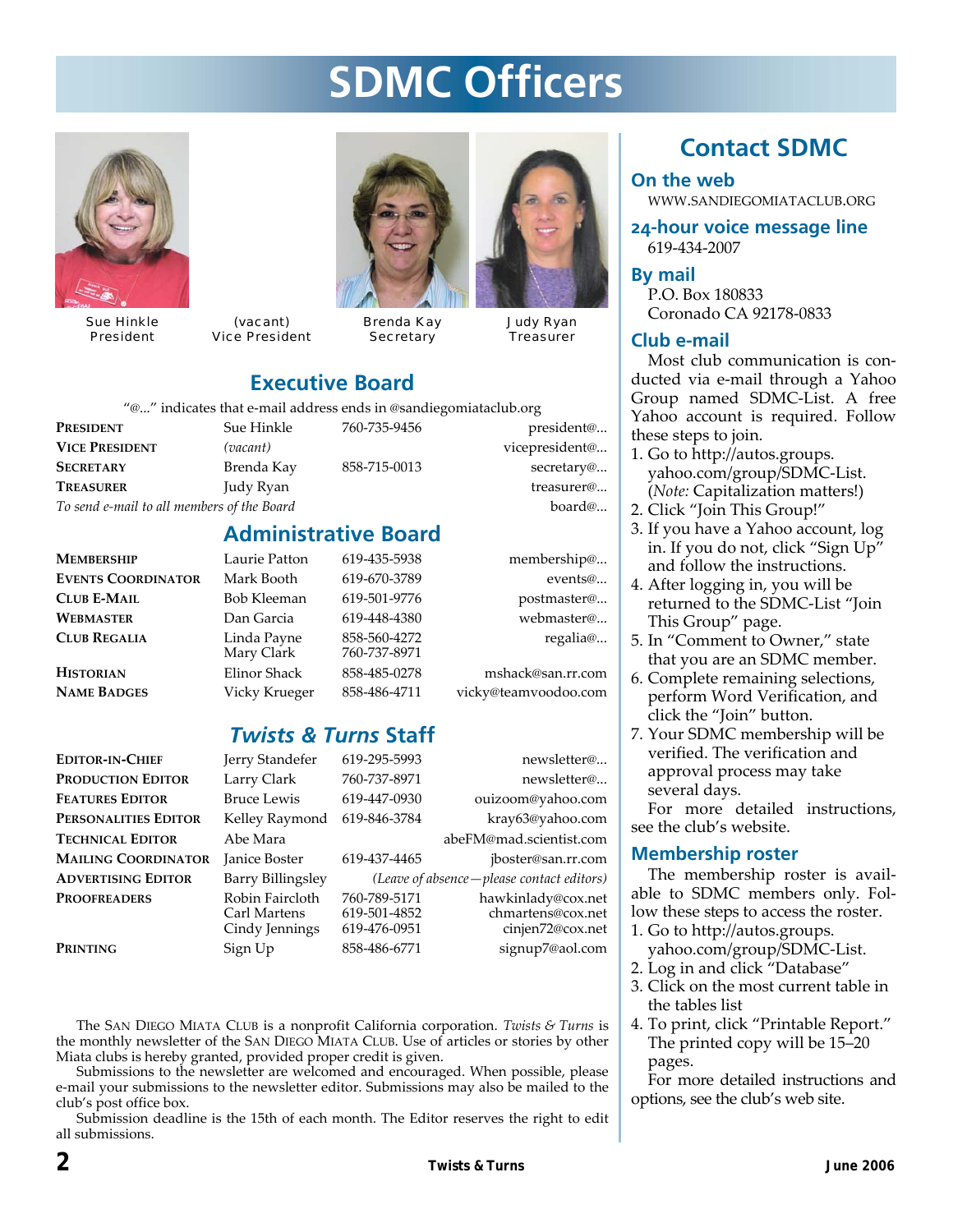# **SDMC Officers**

![](_page_1_Picture_1.jpeg)

Sue Hinkle President

![](_page_1_Picture_3.jpeg)

![](_page_1_Picture_4.jpeg)

Brenda Kay **Secretary** 

![](_page_1_Picture_6.jpeg)

Judy Ryan **Treasurer** 

### **Executive Board**

"@..." indicates that e‐mail address ends in @sandiegomiataclub.org

| Sue Hinkle                                 | 760-735-9456 | president@     |
|--------------------------------------------|--------------|----------------|
| (vacant)                                   |              | vicepresident@ |
| Brenda Kay                                 | 858-715-0013 | secretary@     |
| Judy Ryan                                  |              | treasurer@     |
| To send e-mail to all members of the Board |              | board@         |
|                                            |              |                |

### **Administrative Board**

| <b>MEMBERSHIP</b>               | Laurie Patton                 | 619-435-5938                 | membership@                               |
|---------------------------------|-------------------------------|------------------------------|-------------------------------------------|
| <b>EVENTS COORDINATOR</b>       | Mark Booth                    | 619-670-3789                 | events@                                   |
| <b>CLUB E-MAIL</b>              | Bob Kleeman                   | 619-501-9776                 | postmaster@                               |
| WEBMASTER                       | Dan Garcia                    | 619-448-4380                 | webmaster@                                |
| <b>CLUB REGALIA</b>             | Linda Payne<br>Mary Clark     | 858-560-4272<br>760-737-8971 | regalia@                                  |
| Historian<br><b>NAME BADGES</b> | Elinor Shack<br>Vicky Krueger | 858-485-0278<br>858-486-4711 | mshack@san.rr.com<br>vicky@teamvoodoo.com |
|                                 |                               |                              |                                           |

### *Twists & Turns* **Staff**

| <b>EDITOR-IN-CHIEF</b>     | Jerry Standefer                                   | 619-295-5993                                 | newsletter@                                                 |
|----------------------------|---------------------------------------------------|----------------------------------------------|-------------------------------------------------------------|
| Production Editor          | Larry Clark                                       | 760-737-8971                                 | newsletter@                                                 |
| <b>FEATURES EDITOR</b>     | <b>Bruce Lewis</b>                                | 619-447-0930                                 | ouizoom@yahoo.com                                           |
| PERSONALITIES EDITOR       | Kelley Raymond                                    | 619-846-3784                                 | kray63@yahoo.com                                            |
| <b>TECHNICAL EDITOR</b>    | Abe Mara                                          |                                              | abeFM@mad.scientist.com                                     |
| <b>MAILING COORDINATOR</b> | <b>Janice Boster</b>                              | 619-437-4465                                 | jboster@san.rr.com                                          |
| <b>ADVERTISING EDITOR</b>  | <b>Barry Billingsley</b>                          |                                              | (Leave of absence - please contact editors)                 |
| PROOFREADERS               | Robin Faircloth<br>Carl Martens<br>Cindy Jennings | 760-789-5171<br>619-501-4852<br>619-476-0951 | hawkinlady@cox.net<br>chmartens@cox.net<br>cinjen72@cox.net |
| Printing                   | Sign Up                                           | 858-486-6771                                 | signup7@aol.com                                             |

The SAN DIEGO MIATA CLUB is a nonprofit California corporation. *Twists & Turns* is the monthly newsletter of the SAN DIEGO MIATA CLUB. Use of articles or stories by other Miata clubs is hereby granted, provided proper credit is given.

Submissions to the newsletter are welcomed and encouraged. When possible, please e‐mail your submissions to the newsletter editor. Submissions may also be mailed to the club's post office box.

Submission deadline is the 15th of each month. The Editor reserves the right to edit all submissions.

## **Contact SDMC**

#### **On the web**

WWW.SANDIEGOMIATACLUB.ORG

**24-hour voice message line**  619‐434‐2007

**By mail**  P.O. Box 180833 Coronado CA 92178‐0833

#### **Club e-mail**

Most club communication is conducted via e‐mail through a Yahoo Group named SDMC‐List. A free Yahoo account is required. Follow these steps to join.

- 1. Go to http://autos.groups. yahoo.com/group/SDMC‐List. (*Note:* Capitalization matters!)
- 2. Click "Join This Group!"
- 3. If you have a Yahoo account, log in. If you do not, click "Sign Up" and follow the instructions.
- 4. After logging in, you will be returned to the SDMC‐List "Join This Group" page.
- 5. In "Comment to Owner," state that you are an SDMC member.
- 6. Complete remaining selections, perform Word Verification, and click the "Join" button.
- 7. Your SDMC membership will be verified. The verification and approval process may take several days.

For more detailed instructions, see the club's website.

#### **Membership roster**

The membership roster is avail‐ able to SDMC members only. Fol‐ low these steps to access the roster.

- 1. Go to http://autos.groups.
- yahoo.com/group/SDMC‐List.
- 2. Log in and click "Database"
- 3. Click on the most current table in the tables list
- 4. To print, click "Printable Report." The printed copy will be 15–20 pages.

For more detailed instructions and options, see the club's web site.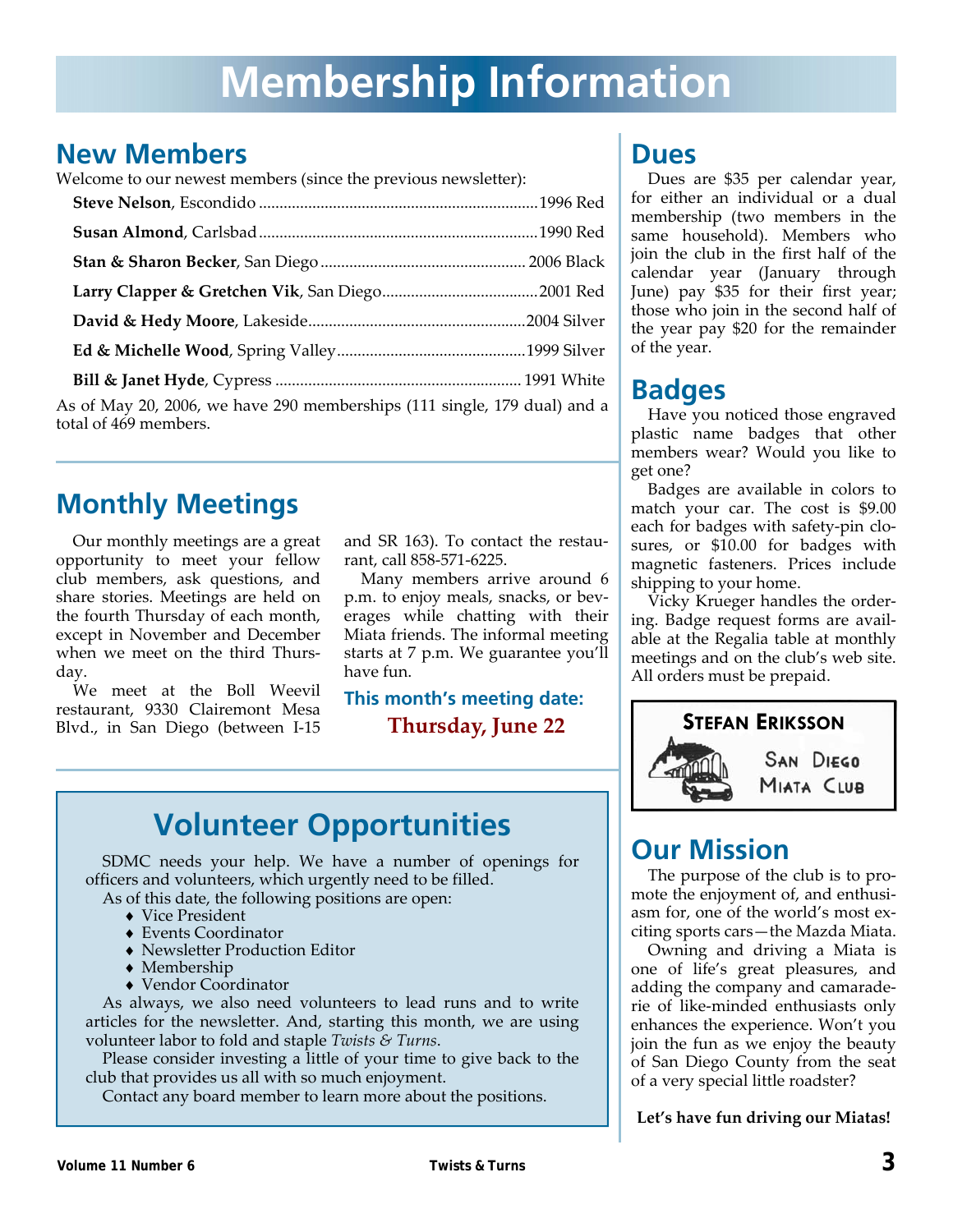# **Membership Information**

### **New Members**

Welcome to our newest members (since the previous newsletter):

| As of May 20, 2006, we have 290 memberships (111 single, 179 dual) and a<br>total of 469 members. |  |
|---------------------------------------------------------------------------------------------------|--|
|                                                                                                   |  |

## **Monthly Meetings**

Our monthly meetings are a great opportunity to meet your fellow club members, ask questions, and share stories. Meetings are held on the fourth Thursday of each month, except in November and December when we meet on the third Thursday.

We meet at the Boll Weevil restaurant, 9330 Clairemont Mesa Blvd., in San Diego (between I‐15 and SR 163). To contact the restau‐ rant, call 858‐571‐6225.

Many members arrive around 6 p.m. to enjoy meals, snacks, or beverages while chatting with their Miata friends. The informal meeting starts at 7 p.m. We guarantee you'll have fun.

**This month's meeting date: Thursday, June 22**

## **Volunteer Opportunities**

SDMC needs your help. We have a number of openings for officers and volunteers, which urgently need to be filled.

As of this date, the following positions are open:

- ♦ Vice President
- ♦ Events Coordinator
- ♦ Newsletter Production Editor
- ♦ Membership
- ♦ Vendor Coordinator

As always, we also need volunteers to lead runs and to write articles for the newsletter. And, starting this month, we are using volunteer labor to fold and staple *Twists & Turns*.

Please consider investing a little of your time to give back to the club that provides us all with so much enjoyment.

Contact any board member to learn more about the positions.

### **Dues**

Dues are \$35 per calendar year, for either an individual or a dual membership (two members in the same household). Members who join the club in the first half of the calendar year (January through June) pay \$35 for their first year; those who join in the second half of the year pay \$20 for the remainder of the year.

## **Badges**

Have you noticed those engraved plastic name badges that other members wear? Would you like to get one?

Badges are available in colors to match your car. The cost is \$9.00 each for badges with safety‐pin clo‐ sures, or \$10.00 for badges with magnetic fasteners. Prices include shipping to your home.

Vicky Krueger handles the order‐ ing. Badge request forms are avail‐ able at the Regalia table at monthly meetings and on the club's web site. All orders must be prepaid.

![](_page_2_Picture_27.jpeg)

## **Our Mission**

The purpose of the club is to pro‐ mote the enjoyment of, and enthusiasm for, one of the world's most ex‐ citing sports cars—the Mazda Miata.

Owning and driving a Miata is one of life's great pleasures, and adding the company and camarade‐ rie of like‐minded enthusiasts only enhances the experience. Won't you join the fun as we enjoy the beauty of San Diego County from the seat of a very special little roadster?

**Let's have fun driving our Miatas!**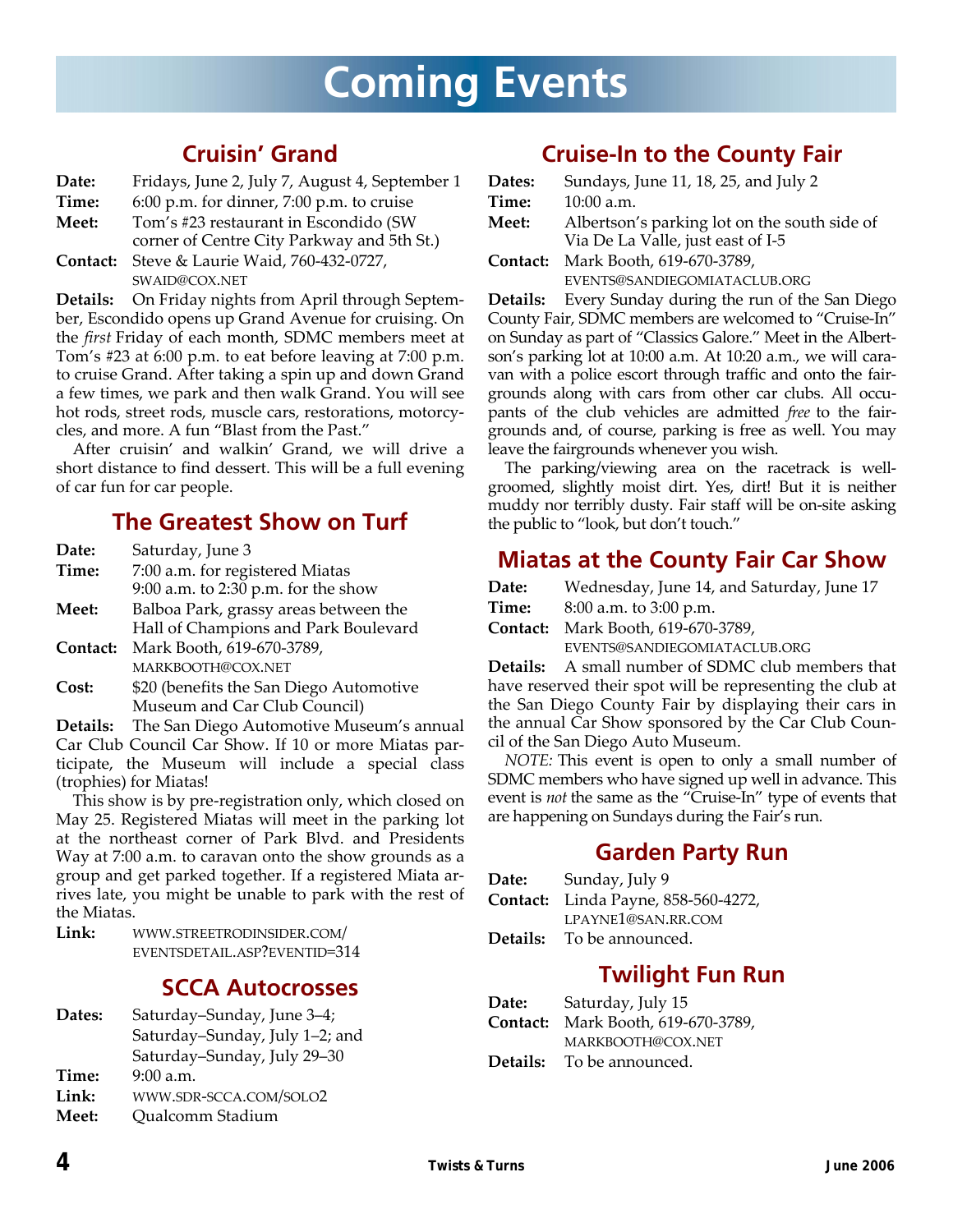# **Coming Events**

### **Cruisin' Grand**

| Date: | Fridays, June 2, July 7, August 4, September 1 |
|-------|------------------------------------------------|
|-------|------------------------------------------------|

- **Time:** 6:00 p.m. for dinner, 7:00 p.m. to cruise
- **Meet:** Tom's #23 restaurant in Escondido (SW
- corner of Centre City Parkway and 5th St.) **Contact:** Steve & Laurie Waid, 760‐432‐0727,
	- SWAID@COX.NET

**Details:** On Friday nights from April through Septem‐ ber, Escondido opens up Grand Avenue for cruising. On the *first* Friday of each month, SDMC members meet at Tom's #23 at 6:00 p.m. to eat before leaving at 7:00 p.m. to cruise Grand. After taking a spin up and down Grand a few times, we park and then walk Grand. You will see hot rods, street rods, muscle cars, restorations, motorcycles, and more. A fun "Blast from the Past."

After cruisin' and walkin' Grand, we will drive a short distance to find dessert. This will be a full evening of car fun for car people.

### **The Greatest Show on Turf**

| Date:        | Saturday, June 3                      |
|--------------|---------------------------------------|
| Time:        | 7:00 a.m. for registered Miatas       |
|              | $9:00$ a.m. to 2:30 p.m. for the show |
| <b>Meet:</b> | Balboa Park, grassy areas between the |
|              | Hall of Champions and Park Boulevard  |
| Contact:     | Mark Booth, 619-670-3789,             |

MARKBOOTH@COX.NET

**Cost:** \$20 (benefits the San Diego Automotive Museum and Car Club Council)

**Details:** The San Diego Automotive Museum's annual Car Club Council Car Show. If 10 or more Miatas par‐ ticipate, the Museum will include a special class (trophies) for Miatas!

This show is by pre‐registration only, which closed on May 25. Registered Miatas will meet in the parking lot at the northeast corner of Park Blvd. and Presidents Way at 7:00 a.m. to caravan onto the show grounds as a group and get parked together. If a registered Miata ar‐ rives late, you might be unable to park with the rest of the Miatas.

**Link:** WWW.STREETRODINSIDER.COM/ EVENTSDETAIL.ASP?EVENTID=314

### **SCCA Autocrosses**

| Dates: | Saturday-Sunday, June 3-4;     |
|--------|--------------------------------|
|        | Saturday-Sunday, July 1-2; and |
|        | Saturday-Sunday, July 29-30    |
| Time:  | 9:00 a.m.                      |
| Link:  | WWW.SDR-SCCA.COM/SOLO2         |
| Meet:  | <b>Qualcomm Stadium</b>        |
|        |                                |

### **Cruise-In to the County Fair**

| Dates:       | Sundays, June 11, 18, 25, and July 2         |
|--------------|----------------------------------------------|
| Time:        | 10:00 a.m.                                   |
| <b>Meet:</b> | Albertson's parking lot on the south side of |
|              | Via De La Valle, just east of I-5            |
| Contact:     | Mark Booth, 619-670-3789,                    |
|              | EVENTS@SANDIEGOMIATACLUB.ORG                 |

**Details:** Every Sunday during the run of the San Diego County Fair, SDMC members are welcomed to "Cruise‐In" on Sunday as part of "Classics Galore." Meet in the Albert‐ son's parking lot at 10:00 a.m. At 10:20 a.m., we will caravan with a police escort through traffic and onto the fair‐ grounds along with cars from other car clubs. All occu‐ pants of the club vehicles are admitted *free* to the fairgrounds and, of course, parking is free as well. You may leave the fairgrounds whenever you wish.

The parking/viewing area on the racetrack is well‐ groomed, slightly moist dirt. Yes, dirt! But it is neither muddy nor terribly dusty. Fair staff will be on‐site asking the public to "look, but don't touch."

### **Miatas at the County Fair Car Show**

| Date: | Wednesday, June 14, and Saturday, June 17 |  |
|-------|-------------------------------------------|--|
|-------|-------------------------------------------|--|

**Time:** 8:00 a.m. to 3:00 p.m.

**Contact:** Mark Booth, 619‐670‐3789,

EVENTS@SANDIEGOMIATACLUB.ORG

**Details:** A small number of SDMC club members that have reserved their spot will be representing the club at the San Diego County Fair by displaying their cars in the annual Car Show sponsored by the Car Club Coun‐ cil of the San Diego Auto Museum.

*NOTE:* This event is open to only a small number of SDMC members who have signed up well in advance. This event is *not* the same as the "Cruise‐In" type of events that are happening on Sundays during the Fair's run.

### **Garden Party Run**

| Date: | Sunday, July 9                             |
|-------|--------------------------------------------|
|       | <b>Contact:</b> Linda Payne, 858-560-4272, |
|       | LPAYNE1@SAN.RR.COM                         |
|       | <b>Details:</b> To be announced.           |

### **Twilight Fun Run**

**Date:** Saturday, July 15 **Contact:** Mark Booth, 619‐670‐3789, MARKBOOTH@COX.NET **Details:** To be announced.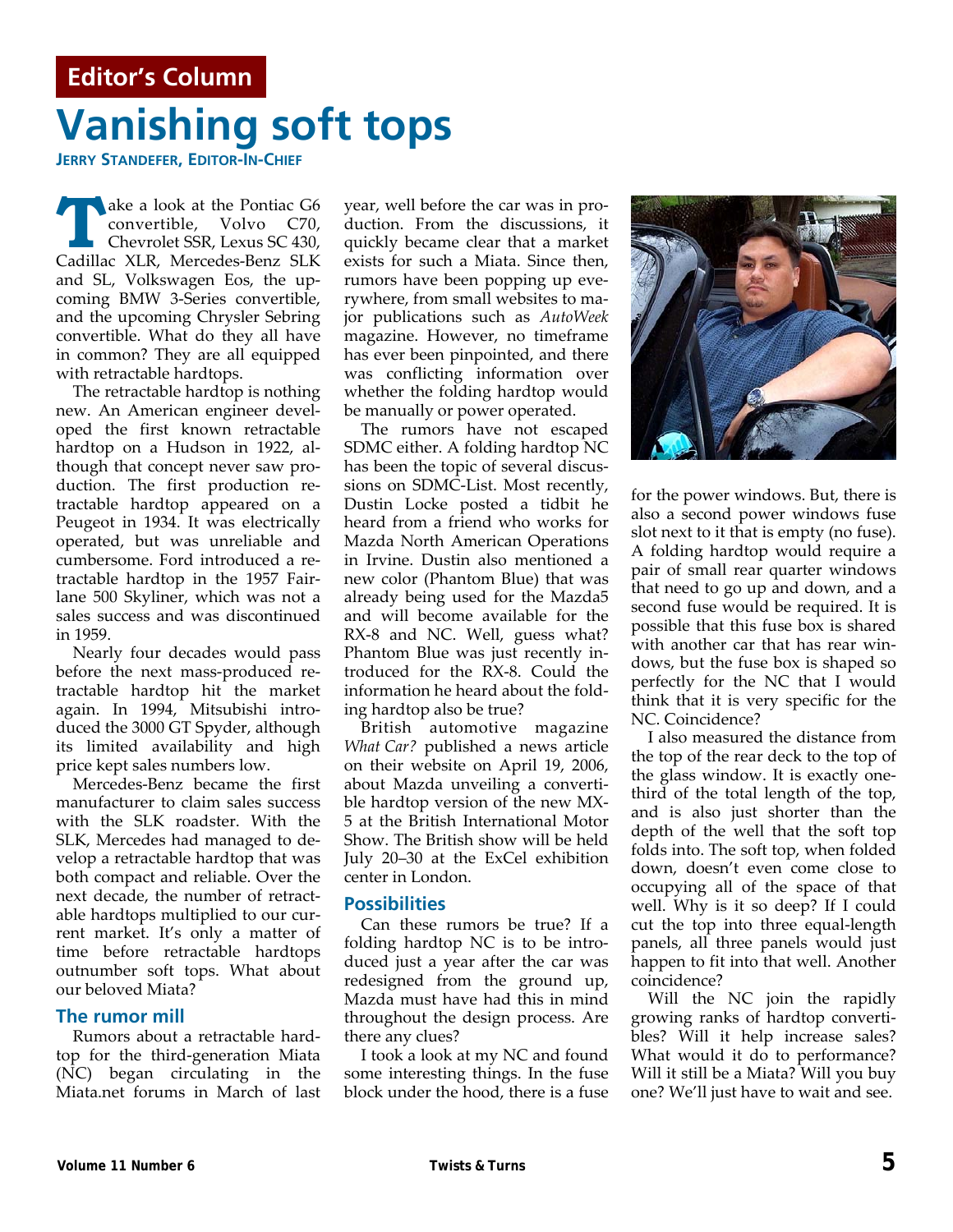# **Vanishing soft tops Editor's Column**

**JERRY STANDEFER, EDITOR-IN-CHIEF**

ake a look at the Pontiac G6 convertible, Volvo C70, Chevrolet SSR, Lexus SC 430, Cadillac XLR, Mercedes‐Benz SLK and SL, Volkswagen Eos, the up‐ coming BMW 3‐Series convertible, and the upcoming Chrysler Sebring convertible. What do they all have in common? They are all equipped with retractable hardtops.

The retractable hardtop is nothing new. An American engineer devel‐ oped the first known retractable hardtop on a Hudson in 1922, al‐ though that concept never saw pro‐ duction. The first production re‐ tractable hardtop appeared on a Peugeot in 1934. It was electrically operated, but was unreliable and cumbersome. Ford introduced a re‐ tractable hardtop in the 1957 Fair‐ lane 500 Skyliner, which was not a sales success and was discontinued in 1959.

Nearly four decades would pass before the next mass‐produced re‐ tractable hardtop hit the market again. In 1994, Mitsubishi intro‐ duced the 3000 GT Spyder, although its limited availability and high price kept sales numbers low.

Mercedes‐Benz became the first manufacturer to claim sales success with the SLK roadster. With the SLK, Mercedes had managed to de‐ velop a retractable hardtop that was both compact and reliable. Over the next decade, the number of retract‐ able hardtops multiplied to our cur‐ rent market. It's only a matter of time before retractable hardtops outnumber soft tops. What about our beloved Miata?

#### **The rumor mill**

Rumors about a retractable hard‐ top for the third‐generation Miata (NC) began circulating in the Miata.net forums in March of last year, well before the car was in pro‐ duction. From the discussions, it quickly became clear that a market exists for such a Miata. Since then, rumors have been popping up eve‐ rywhere, from small websites to ma‐ jor publications such as *AutoWeek* magazine. However, no timeframe has ever been pinpointed, and there was conflicting information over whether the folding hardtop would be manually or power operated.

The rumors have not escaped SDMC either. A folding hardtop NC has been the topic of several discussions on SDMC‐List. Most recently, Dustin Locke posted a tidbit he heard from a friend who works for Mazda North American Operations in Irvine. Dustin also mentioned a new color (Phantom Blue) that was already being used for the Mazda5 and will become available for the RX-8 and NC. Well, guess what? Phantom Blue was just recently in‐ troduced for the RX‐8. Could the information he heard about the fold‐ ing hardtop also be true?

British automotive magazine *What Car?* published a news article on their website on April 19, 2006, about Mazda unveiling a converti‐ ble hardtop version of the new MX‐ 5 at the British International Motor Show. The British show will be held July 20–30 at the ExCel exhibition center in London.

#### **Possibilities**

Can these rumors be true? If a folding hardtop NC is to be intro‐ duced just a year after the car was redesigned from the ground up, Mazda must have had this in mind throughout the design process. Are there any clues?

I took a look at my NC and found some interesting things. In the fuse block under the hood, there is a fuse

![](_page_4_Picture_14.jpeg)

for the power windows. But, there is also a second power windows fuse slot next to it that is empty (no fuse). A folding hardtop would require a pair of small rear quarter windows that need to go up and down, and a second fuse would be required. It is possible that this fuse box is shared with another car that has rear win‐ dows, but the fuse box is shaped so perfectly for the NC that I would think that it is very specific for the NC. Coincidence?

I also measured the distance from the top of the rear deck to the top of the glass window. It is exactly one‐ third of the total length of the top, and is also just shorter than the depth of the well that the soft top folds into. The soft top, when folded down, doesn't even come close to occupying all of the space of that well. Why is it so deep? If I could cut the top into three equal‐length panels, all three panels would just happen to fit into that well. Another coincidence?

Will the NC join the rapidly growing ranks of hardtop converti‐ bles? Will it help increase sales? What would it do to performance? Will it still be a Miata? Will you buy one? We'll just have to wait and see.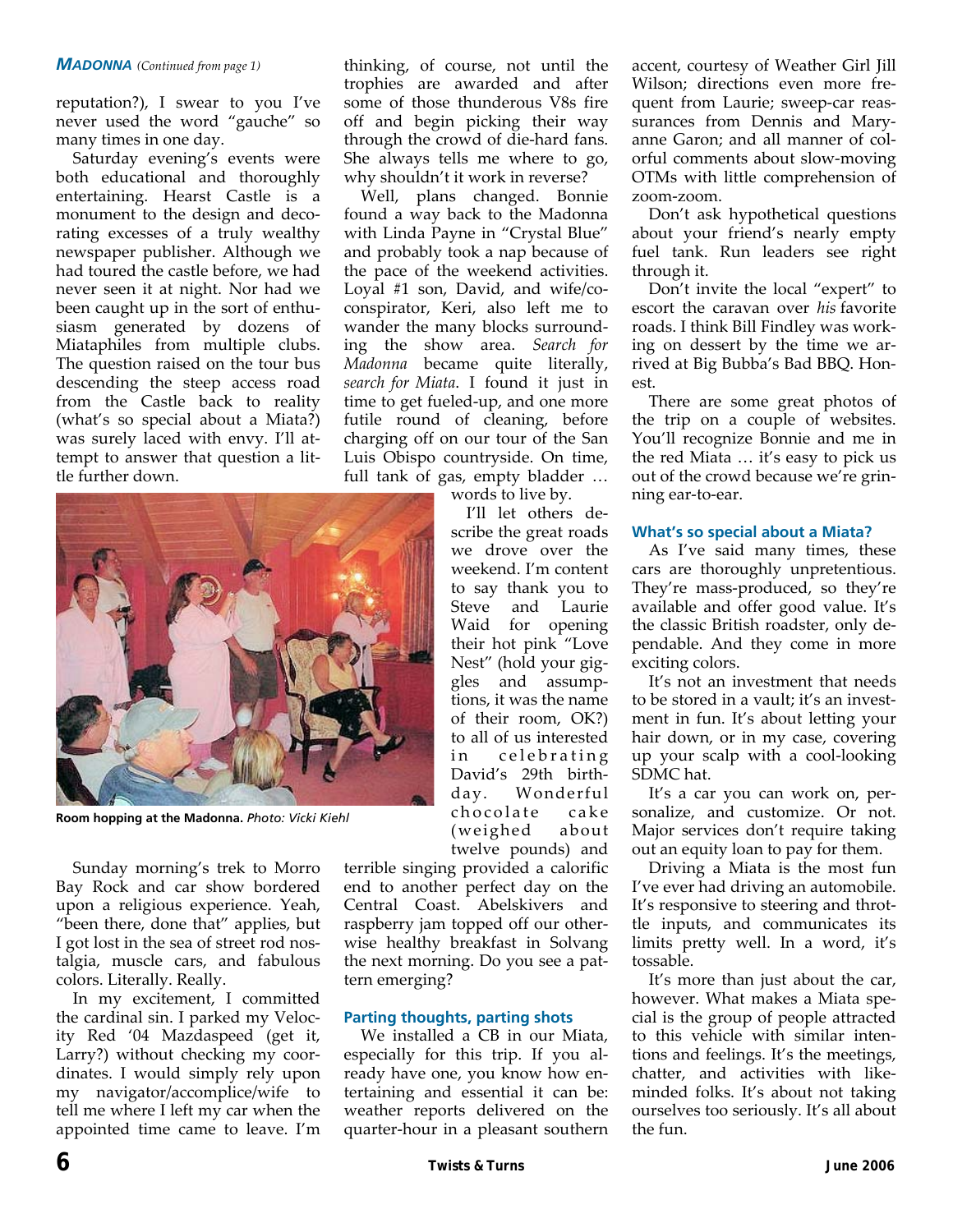#### *MADONNA (Continued from page 1)*

reputation?), I swear to you I've never used the word "gauche" so many times in one day.

Saturday evening's events were both educational and thoroughly entertaining. Hearst Castle is a monument to the design and deco‐ rating excesses of a truly wealthy newspaper publisher. Although we had toured the castle before, we had never seen it at night. Nor had we been caught up in the sort of enthusiasm generated by dozens of Miataphiles from multiple clubs. The question raised on the tour bus descending the steep access road from the Castle back to reality (what's so special about a Miata?) was surely laced with envy. I'll at‐ tempt to answer that question a lit‐ tle further down.

![](_page_5_Picture_3.jpeg)

**Room hopping at the Madonna.** *Photo: Vicki Kiehl* 

Sunday morning's trek to Morro Bay Rock and car show bordered upon a religious experience. Yeah, "been there, done that" applies, but I got lost in the sea of street rod nos‐ talgia, muscle cars, and fabulous colors. Literally. Really.

In my excitement, I committed the cardinal sin. I parked my Veloc‐ ity Red '04 Mazdaspeed (get it, Larry?) without checking my coor‐ dinates. I would simply rely upon my navigator/accomplice/wife to tell me where I left my car when the appointed time came to leave. I'm

thinking, of course, not until the trophies are awarded and after some of those thunderous V8s fire off and begin picking their way through the crowd of die‐hard fans. She always tells me where to go, why shouldn't it work in reverse?

Well, plans changed. Bonnie found a way back to the Madonna with Linda Payne in "Crystal Blue" and probably took a nap because of the pace of the weekend activities. Loyal #1 son, David, and wife/co‐ conspirator, Keri, also left me to wander the many blocks surrounding the show area. *Search for Madonna* became quite literally, *search for Miata*. I found it just in time to get fueled‐up, and one more futile round of cleaning, before charging off on our tour of the San Luis Obispo countryside. On time, full tank of gas, empty bladder …

words to live by.

I'll let others de‐ scribe the great roads we drove over the weekend. I'm content to say thank you to Steve and Laurie Waid for opening their hot pink "Love Nest" (hold your gig‐ gles and assump‐ tions, it was the name of their room, OK?) to all of us interested in celebrating David's 29th birth‐ day. Wonderful chocolate cake (weighed about twelve pounds) and

terrible singing provided a calorific end to another perfect day on the Central Coast. Abelskivers and raspberry jam topped off our other‐ wise healthy breakfast in Solvang the next morning. Do you see a pat‐ tern emerging?

#### **Parting thoughts, parting shots**

We installed a CB in our Miata, especially for this trip. If you al‐ ready have one, you know how en‐ tertaining and essential it can be: weather reports delivered on the quarter‐hour in a pleasant southern accent, courtesy of Weather Girl Jill Wilson; directions even more frequent from Laurie; sweep‐car reas‐ surances from Dennis and Mary‐ anne Garon; and all manner of col‐ orful comments about slow‐moving OTMs with little comprehension of zoom‐zoom.

Don't ask hypothetical questions about your friend's nearly empty fuel tank. Run leaders see right through it.

Don't invite the local "expert" to escort the caravan over *his* favorite roads. I think Bill Findley was work‐ ing on dessert by the time we ar‐ rived at Big Bubba's Bad BBQ. Hon‐ est.

There are some great photos of the trip on a couple of websites. You'll recognize Bonnie and me in the red Miata … it's easy to pick us out of the crowd because we're grin‐ ning ear‐to‐ear.

#### **What's so special about a Miata?**

As I've said many times, these cars are thoroughly unpretentious. They're mass‐produced, so they're available and offer good value. It's the classic British roadster, only de‐ pendable. And they come in more exciting colors.

It's not an investment that needs to be stored in a vault; it's an invest‐ ment in fun. It's about letting your hair down, or in my case, covering up your scalp with a cool‐looking SDMC hat.

It's a car you can work on, personalize, and customize. Or not. Major services don't require taking out an equity loan to pay for them.

Driving a Miata is the most fun I've ever had driving an automobile. It's responsive to steering and throt‐ tle inputs, and communicates its limits pretty well. In a word, it's tossable.

It's more than just about the car, however. What makes a Miata spe‐ cial is the group of people attracted to this vehicle with similar inten‐ tions and feelings. It's the meetings, chatter, and activities with like‐ minded folks. It's about not taking ourselves too seriously. It's all about the fun.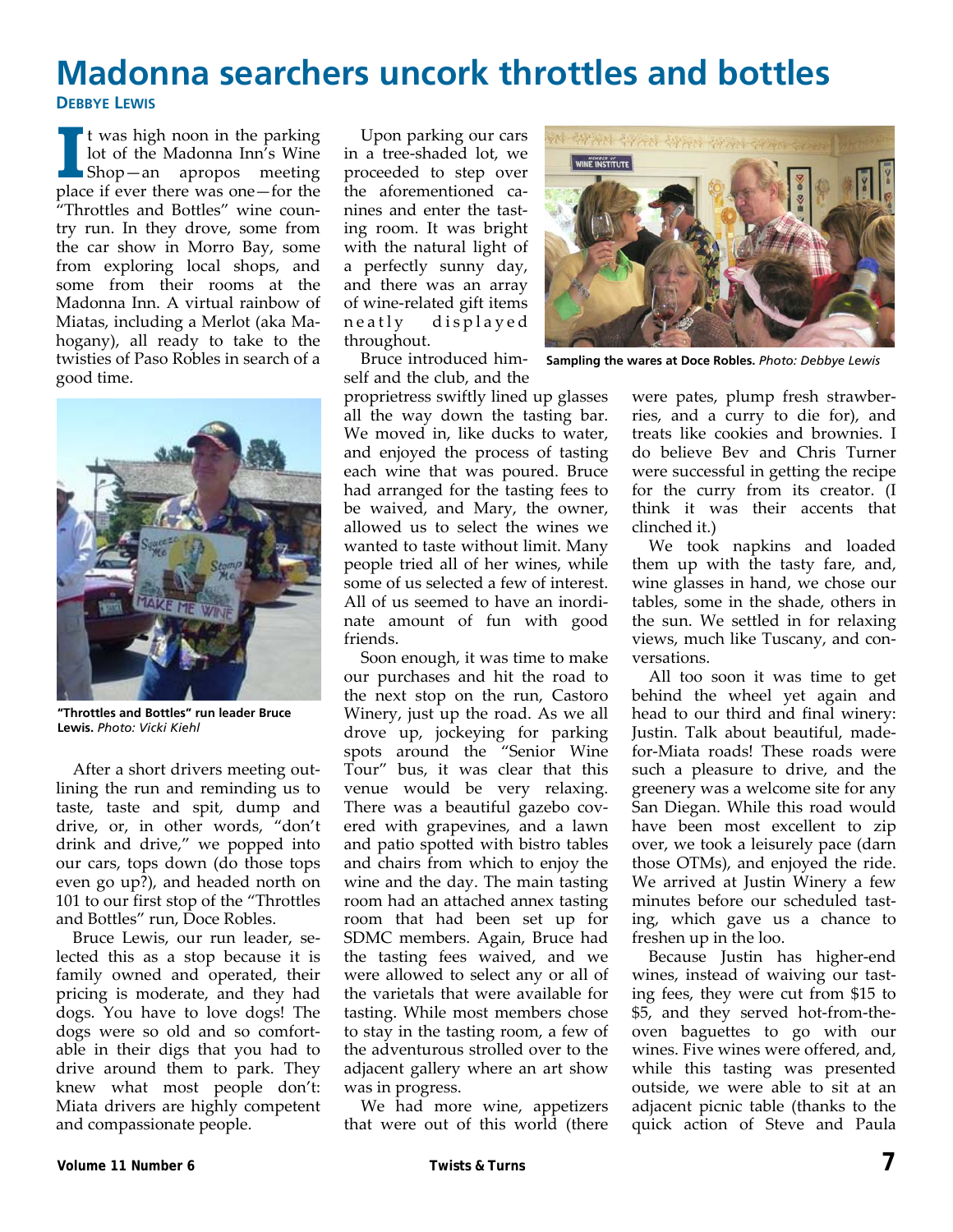## **Madonna searchers uncork throttles and bottles DEBBYE LEWIS**

**I I** t was high noon in the parking<br>lot of the Madonna Inn's Wine<br>Shop—an apropos meeting lot of the Madonna Inn's Wine Shop—an apropos meeting place if ever there was one—for the "Throttles and Bottles" wine coun‐ try run. In they drove, some from the car show in Morro Bay, some from exploring local shops, and some from their rooms at the Madonna Inn. A virtual rainbow of Miatas, including a Merlot (aka Ma‐ hogany), all ready to take to the twisties of Paso Robles in search of a good time.

![](_page_6_Picture_2.jpeg)

**"Throttles and Bottles" run leader Bruce Lewis.** *Photo: Vicki Kiehl* 

After a short drivers meeting out‐ lining the run and reminding us to taste, taste and spit, dump and drive, or, in other words, "don't drink and drive," we popped into our cars, tops down (do those tops even go up?), and headed north on 101 to our first stop of the "Throttles and Bottles" run, Doce Robles.

Bruce Lewis, our run leader, se‐ lected this as a stop because it is family owned and operated, their pricing is moderate, and they had dogs. You have to love dogs! The dogs were so old and so comfort‐ able in their digs that you had to drive around them to park. They knew what most people don't: Miata drivers are highly competent and compassionate people.

Upon parking our cars in a tree‐shaded lot, we proceeded to step over the aforementioned canines and enter the tast‐ ing room. It was bright with the natural light of a perfectly sunny day, and there was an array of wine‐related gift items neatly displayed throughout.

Bruce introduced him‐ self and the club, and the

proprietress swiftly lined up glasses all the way down the tasting bar. We moved in, like ducks to water, and enjoyed the process of tasting each wine that was poured. Bruce had arranged for the tasting fees to be waived, and Mary, the owner, allowed us to select the wines we wanted to taste without limit. Many people tried all of her wines, while some of us selected a few of interest. All of us seemed to have an inordi‐ nate amount of fun with good friends.

Soon enough, it was time to make our purchases and hit the road to the next stop on the run, Castoro Winery, just up the road. As we all drove up, jockeying for parking spots around the "Senior Wine Tour" bus, it was clear that this venue would be very relaxing. There was a beautiful gazebo covered with grapevines, and a lawn and patio spotted with bistro tables and chairs from which to enjoy the wine and the day. The main tasting room had an attached annex tasting room that had been set up for SDMC members. Again, Bruce had the tasting fees waived, and we were allowed to select any or all of the varietals that were available for tasting. While most members chose to stay in the tasting room, a few of the adventurous strolled over to the adjacent gallery where an art show was in progress.

We had more wine, appetizers that were out of this world (there

![](_page_6_Picture_11.jpeg)

**Sampling the wares at Doce Robles.** *Photo: Debbye Lewis* 

were pates, plump fresh strawberries, and a curry to die for), and treats like cookies and brownies. I do believe Bev and Chris Turner were successful in getting the recipe for the curry from its creator. (I think it was their accents that clinched it.)

We took napkins and loaded them up with the tasty fare, and, wine glasses in hand, we chose our tables, some in the shade, others in the sun. We settled in for relaxing views, much like Tuscany, and con‐ versations.

All too soon it was time to get behind the wheel yet again and head to our third and final winery: Justin. Talk about beautiful, made‐ for‐Miata roads! These roads were such a pleasure to drive, and the greenery was a welcome site for any San Diegan. While this road would have been most excellent to zip over, we took a leisurely pace (darn those OTMs), and enjoyed the ride. We arrived at Justin Winery a few minutes before our scheduled tast‐ ing, which gave us a chance to freshen up in the loo.

Because Justin has higher‐end wines, instead of waiving our tasting fees, they were cut from \$15 to \$5, and they served hot‐from‐the‐ oven baguettes to go with our wines. Five wines were offered, and, while this tasting was presented outside, we were able to sit at an adjacent picnic table (thanks to the quick action of Steve and Paula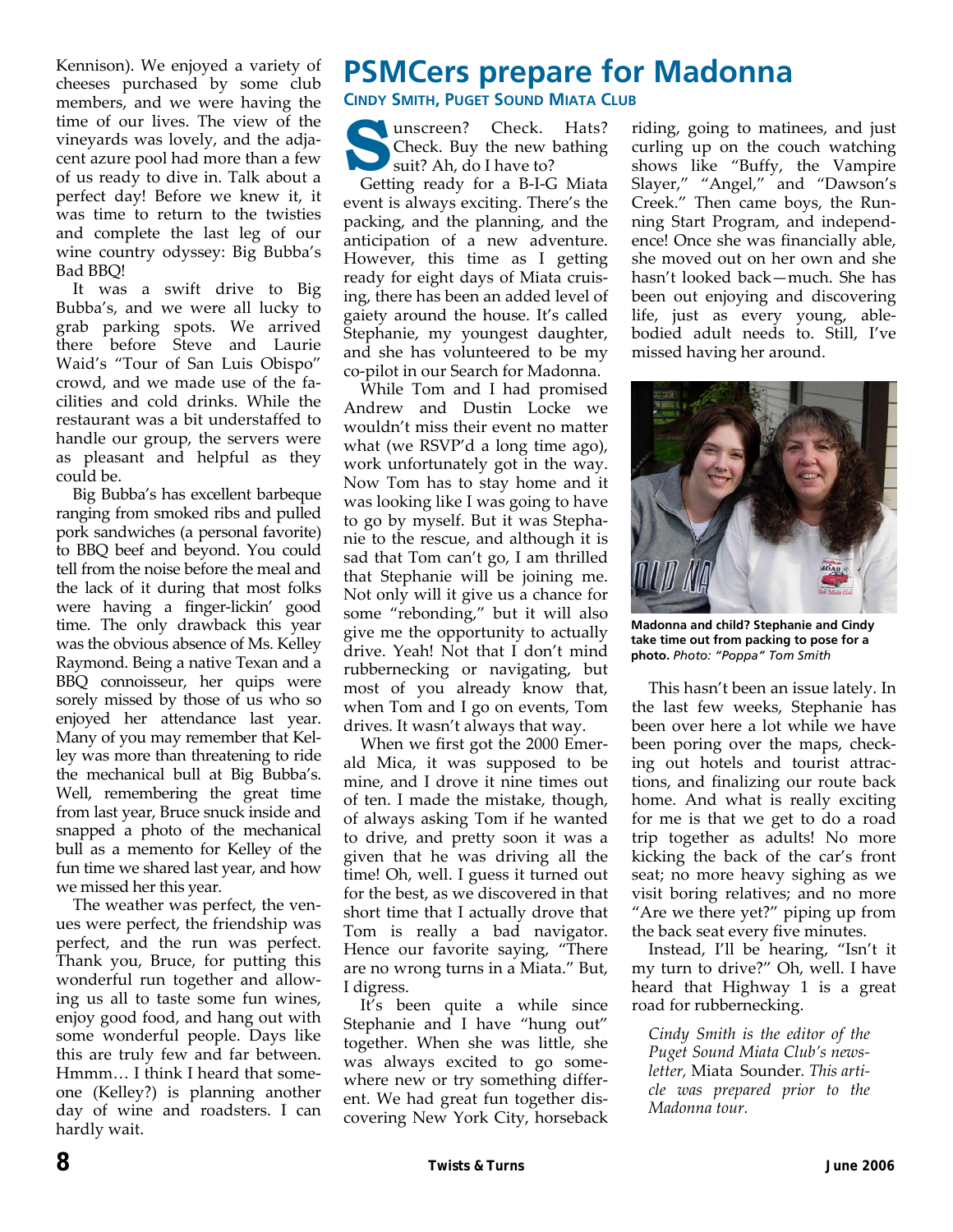Kennison). We enjoyed a variety of cheeses purchased by some club members, and we were having the time of our lives. The view of the vineyards was lovely, and the adja‐ cent azure pool had more than a few of us ready to dive in. Talk about a perfect day! Before we knew it, it was time to return to the twisties and complete the last leg of our wine country odyssey: Big Bubba's Bad BBQ!

It was a swift drive to Big Bubba's, and we were all lucky to grab parking spots. We arrived there before Steve and Laurie Waid's "Tour of San Luis Obispo" crowd, and we made use of the fa‐ cilities and cold drinks. While the restaurant was a bit understaffed to handle our group, the servers were as pleasant and helpful as they could be.

Big Bubba's has excellent barbeque ranging from smoked ribs and pulled pork sandwiches (a personal favorite) to BBQ beef and beyond. You could tell from the noise before the meal and the lack of it during that most folks were having a finger‐lickin' good time. The only drawback this year was the obvious absence of Ms. Kelley Raymond. Being a native Texan and a BBQ connoisseur, her quips were sorely missed by those of us who so enjoyed her attendance last year. Many of you may remember that Kel‐ ley was more than threatening to ride the mechanical bull at Big Bubba's. Well, remembering the great time from last year, Bruce snuck inside and snapped a photo of the mechanical bull as a memento for Kelley of the fun time we shared last year, and how we missed her this year.

The weather was perfect, the venues were perfect, the friendship was perfect, and the run was perfect. Thank you, Bruce, for putting this wonderful run together and allow‐ ing us all to taste some fun wines, enjoy good food, and hang out with some wonderful people. Days like this are truly few and far between. Hmmm… I think I heard that some‐ one (Kelley?) is planning another day of wine and roadsters. I can hardly wait.

### **PSMCers prepare for Madonna CINDY SMITH, PUGET SOUND MIATA CLUB**

Unscreen? Check. Hats?<br>
Suit? Ah, do I have to?<br>
Suit? Ah, do I have to? Check. Buy the new bathing

Getting ready for a B‐I‐G Miata event is always exciting. There's the packing, and the planning, and the anticipation of a new adventure. However, this time as I getting ready for eight days of Miata cruis‐ ing, there has been an added level of gaiety around the house. It's called Stephanie, my youngest daughter, and she has volunteered to be my co‐pilot in our Search for Madonna.

While Tom and I had promised Andrew and Dustin Locke we wouldn't miss their event no matter what (we RSVP'd a long time ago), work unfortunately got in the way. Now Tom has to stay home and it was looking like I was going to have to go by myself. But it was Stepha‐ nie to the rescue, and although it is sad that Tom can't go, I am thrilled that Stephanie will be joining me. Not only will it give us a chance for some "rebonding," but it will also give me the opportunity to actually drive. Yeah! Not that I don't mind rubbernecking or navigating, but most of you already know that, when Tom and I go on events, Tom drives. It wasn't always that way.

When we first got the 2000 Emer‐ ald Mica, it was supposed to be mine, and I drove it nine times out of ten. I made the mistake, though, of always asking Tom if he wanted to drive, and pretty soon it was a given that he was driving all the time! Oh, well. I guess it turned out for the best, as we discovered in that short time that I actually drove that Tom is really a bad navigator. Hence our favorite saying, "There are no wrong turns in a Miata." But, I digress.

It's been quite a while since Stephanie and I have "hung out" together. When she was little, she was always excited to go some‐ where new or try something different. We had great fun together dis‐ covering New York City, horseback riding, going to matinees, and just curling up on the couch watching shows like "Buffy, the Vampire Slayer," "Angel," and "Dawson's Creek." Then came boys, the Run‐ ning Start Program, and independ‐ ence! Once she was financially able, she moved out on her own and she hasn't looked back—much. She has been out enjoying and discovering life, just as every young, able‐ bodied adult needs to. Still, I've missed having her around.

![](_page_7_Picture_11.jpeg)

**Madonna and child? Stephanie and Cindy take time out from packing to pose for a photo.** *Photo: "Poppa" Tom Smith* 

This hasn't been an issue lately. In the last few weeks, Stephanie has been over here a lot while we have been poring over the maps, check‐ ing out hotels and tourist attrac‐ tions, and finalizing our route back home. And what is really exciting for me is that we get to do a road trip together as adults! No more kicking the back of the car's front seat; no more heavy sighing as we visit boring relatives; and no more "Are we there yet?" piping up from the back seat every five minutes.

Instead, I'll be hearing, "Isn't it my turn to drive?" Oh, well. I have heard that Highway 1 is a great road for rubbernecking.

*Cindy Smith is the editor of the Puget Sound Miata Club's news‐ letter,* Miata Sounder*. This arti‐ cle was prepared prior to the Madonna tour.*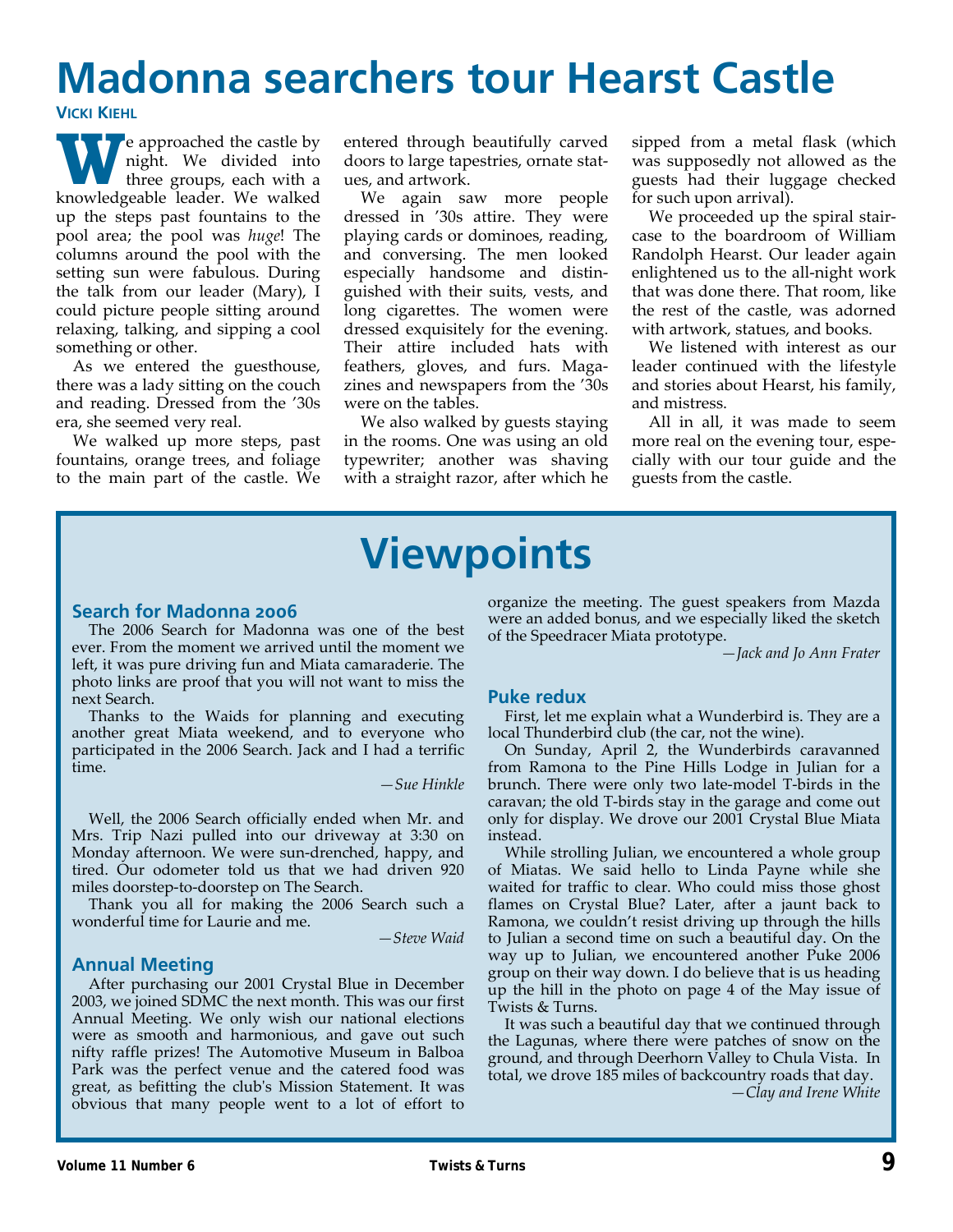# **Madonna searchers tour Hearst Castle**

**VICKI KIEHL**

**W** e approached the castle by<br>three groups, each with a<br>knowledgeable leader. We walked night. We divided into three groups, each with a knowledgeable leader. We walked up the steps past fountains to the pool area; the pool was *huge*! The columns around the pool with the setting sun were fabulous. During the talk from our leader (Mary), I could picture people sitting around relaxing, talking, and sipping a cool something or other.

As we entered the guesthouse, there was a lady sitting on the couch and reading. Dressed from the '30s era, she seemed very real.

We walked up more steps, past fountains, orange trees, and foliage to the main part of the castle. We entered through beautifully carved doors to large tapestries, ornate stat‐ ues, and artwork.

We again saw more people dressed in '30s attire. They were playing cards or dominoes, reading, and conversing. The men looked especially handsome and distin‐ guished with their suits, vests, and long cigarettes. The women were dressed exquisitely for the evening. Their attire included hats with feathers, gloves, and furs. Maga‐ zines and newspapers from the '30s were on the tables.

We also walked by guests staying in the rooms. One was using an old typewriter; another was shaving with a straight razor, after which he sipped from a metal flask (which was supposedly not allowed as the guests had their luggage checked for such upon arrival).

We proceeded up the spiral staircase to the boardroom of William Randolph Hearst. Our leader again enlightened us to the all‐night work that was done there. That room, like the rest of the castle, was adorned with artwork, statues, and books.

We listened with interest as our leader continued with the lifestyle and stories about Hearst, his family, and mistress.

All in all, it was made to seem more real on the evening tour, especially with our tour guide and the guests from the castle.

# **Viewpoints**

#### **Search for Madonna 2006**

The 2006 Search for Madonna was one of the best ever. From the moment we arrived until the moment we left, it was pure driving fun and Miata camaraderie. The photo links are proof that you will not want to miss the next Search.

Thanks to the Waids for planning and executing another great Miata weekend, and to everyone who participated in the 2006 Search. Jack and I had a terrific time.

*—Sue Hinkle*

Well, the 2006 Search officially ended when Mr. and Mrs. Trip Nazi pulled into our driveway at 3:30 on Monday afternoon. We were sun‐drenched, happy, and tired. Our odometer told us that we had driven 920 miles doorstep‐to‐doorstep on The Search.

Thank you all for making the 2006 Search such a wonderful time for Laurie and me.

*—Steve Waid*

#### **Annual Meeting**

After purchasing our 2001 Crystal Blue in December 2003, we joined SDMC the next month. This was our first Annual Meeting. We only wish our national elections were as smooth and harmonious, and gave out such nifty raffle prizes! The Automotive Museum in Balboa Park was the perfect venue and the catered food was great, as befitting the clubʹs Mission Statement. It was obvious that many people went to a lot of effort to

organize the meeting. The guest speakers from Mazda were an added bonus, and we especially liked the sketch of the Speedracer Miata prototype.

*—Jack and Jo Ann Frater*

#### **Puke redux**

First, let me explain what a Wunderbird is. They are a local Thunderbird club (the car, not the wine).

On Sunday, April 2, the Wunderbirds caravanned from Ramona to the Pine Hills Lodge in Julian for a brunch. There were only two late‐model T‐birds in the caravan; the old T‐birds stay in the garage and come out only for display. We drove our 2001 Crystal Blue Miata instead.

While strolling Julian, we encountered a whole group of Miatas. We said hello to Linda Payne while she waited for traffic to clear. Who could miss those ghost flames on Crystal Blue? Later, after a jaunt back to Ramona, we couldn't resist driving up through the hills to Julian a second time on such a beautiful day. On the way up to Julian, we encountered another Puke 2006 group on their way down. I do believe that is us heading up the hill in the photo on page 4 of the May issue of Twists & Turns.

It was such a beautiful day that we continued through the Lagunas, where there were patches of snow on the ground, and through Deerhorn Valley to Chula Vista. In total, we drove 185 miles of backcountry roads that day.

*—Clay and Irene White*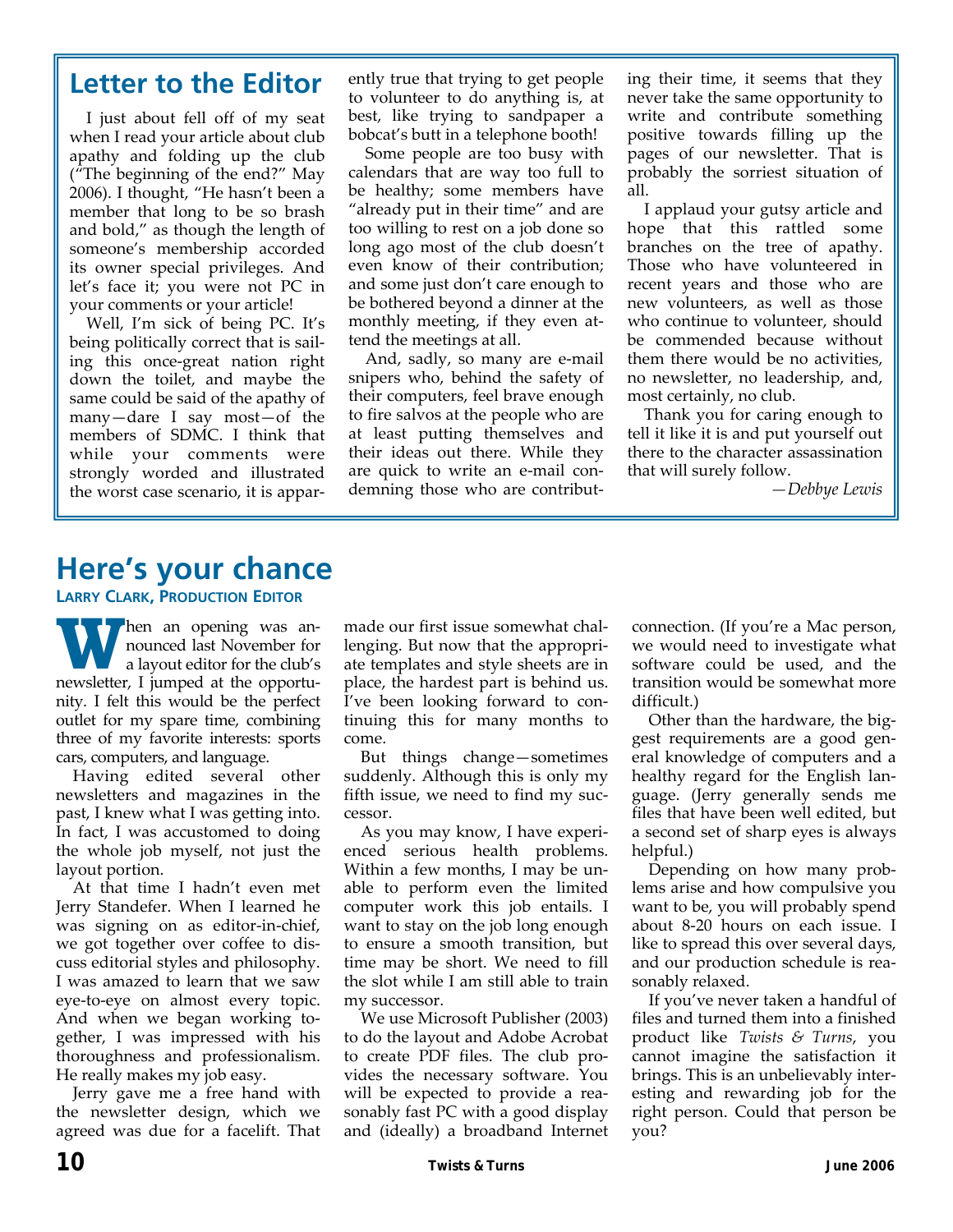## **Letter to the Editor**

I just about fell off of my seat when I read your article about club apathy and folding up the club ("The beginning of the end?" May 2006). I thought, "He hasn't been a member that long to be so brash and bold," as though the length of someone's membership accorded its owner special privileges. And let's face it; you were not PC in your comments or your article!

Well, I'm sick of being PC. It's being politically correct that is sail‐ ing this once‐great nation right down the toilet, and maybe the same could be said of the apathy of many—dare I say most—of the members of SDMC. I think that while your comments were strongly worded and illustrated the worst case scenario, it is appar‐ ently true that trying to get people to volunteer to do anything is, at best, like trying to sandpaper a bobcat's butt in a telephone booth!

Some people are too busy with calendars that are way too full to be healthy; some members have "already put in their time" and are too willing to rest on a job done so long ago most of the club doesn't even know of their contribution; and some just don't care enough to be bothered beyond a dinner at the monthly meeting, if they even attend the meetings at all.

And, sadly, so many are e-mail snipers who, behind the safety of their computers, feel brave enough to fire salvos at the people who are at least putting themselves and their ideas out there. While they are quick to write an e‐mail con‐ demning those who are contribut‐

ing their time, it seems that they never take the same opportunity to write and contribute something positive towards filling up the pages of our newsletter. That is probably the sorriest situation of all.

I applaud your gutsy article and hope that this rattled some branches on the tree of apathy. Those who have volunteered in recent years and those who are new volunteers, as well as those who continue to volunteer, should be commended because without them there would be no activities, no newsletter, no leadership, and, most certainly, no club.

Thank you for caring enough to tell it like it is and put yourself out there to the character assassination that will surely follow.

*—Debbye Lewis*

### **Here's your chance**

**LARRY CLARK, PRODUCTION EDITOR**

**W** hen an opening was announced last November for a layout editor for the club's newsletter, I jumped at the opportu‐ nity. I felt this would be the perfect outlet for my spare time, combining three of my favorite interests: sports cars, computers, and language.

Having edited several other newsletters and magazines in the past, I knew what I was getting into. In fact, I was accustomed to doing the whole job myself, not just the layout portion.

At that time I hadn't even met Jerry Standefer. When I learned he was signing on as editor-in-chief, we got together over coffee to dis‐ cuss editorial styles and philosophy. I was amazed to learn that we saw eye‐to‐eye on almost every topic. And when we began working to‐ gether, I was impressed with his thoroughness and professionalism. He really makes my job easy.

Jerry gave me a free hand with the newsletter design, which we agreed was due for a facelift. That made our first issue somewhat chal‐ lenging. But now that the appropri‐ ate templates and style sheets are in place, the hardest part is behind us. I've been looking forward to con‐ tinuing this for many months to come.

But things change—sometimes suddenly. Although this is only my fifth issue, we need to find my suc‐ cessor.

As you may know, I have experi‐ enced serious health problems. Within a few months, I may be un‐ able to perform even the limited computer work this job entails. I want to stay on the job long enough to ensure a smooth transition, but time may be short. We need to fill the slot while I am still able to train my successor.

We use Microsoft Publisher (2003) to do the layout and Adobe Acrobat to create PDF files. The club pro‐ vides the necessary software. You will be expected to provide a reasonably fast PC with a good display and (ideally) a broadband Internet

connection. (If you're a Mac person, we would need to investigate what software could be used, and the transition would be somewhat more difficult.)

Other than the hardware, the big‐ gest requirements are a good gen‐ eral knowledge of computers and a healthy regard for the English lan‐ guage. (Jerry generally sends me files that have been well edited, but a second set of sharp eyes is always helpful.)

Depending on how many prob‐ lems arise and how compulsive you want to be, you will probably spend about 8‐20 hours on each issue. I like to spread this over several days, and our production schedule is rea‐ sonably relaxed.

If you've never taken a handful of files and turned them into a finished product like *Twists & Turns*, you cannot imagine the satisfaction it brings. This is an unbelievably inter‐ esting and rewarding job for the right person. Could that person be you?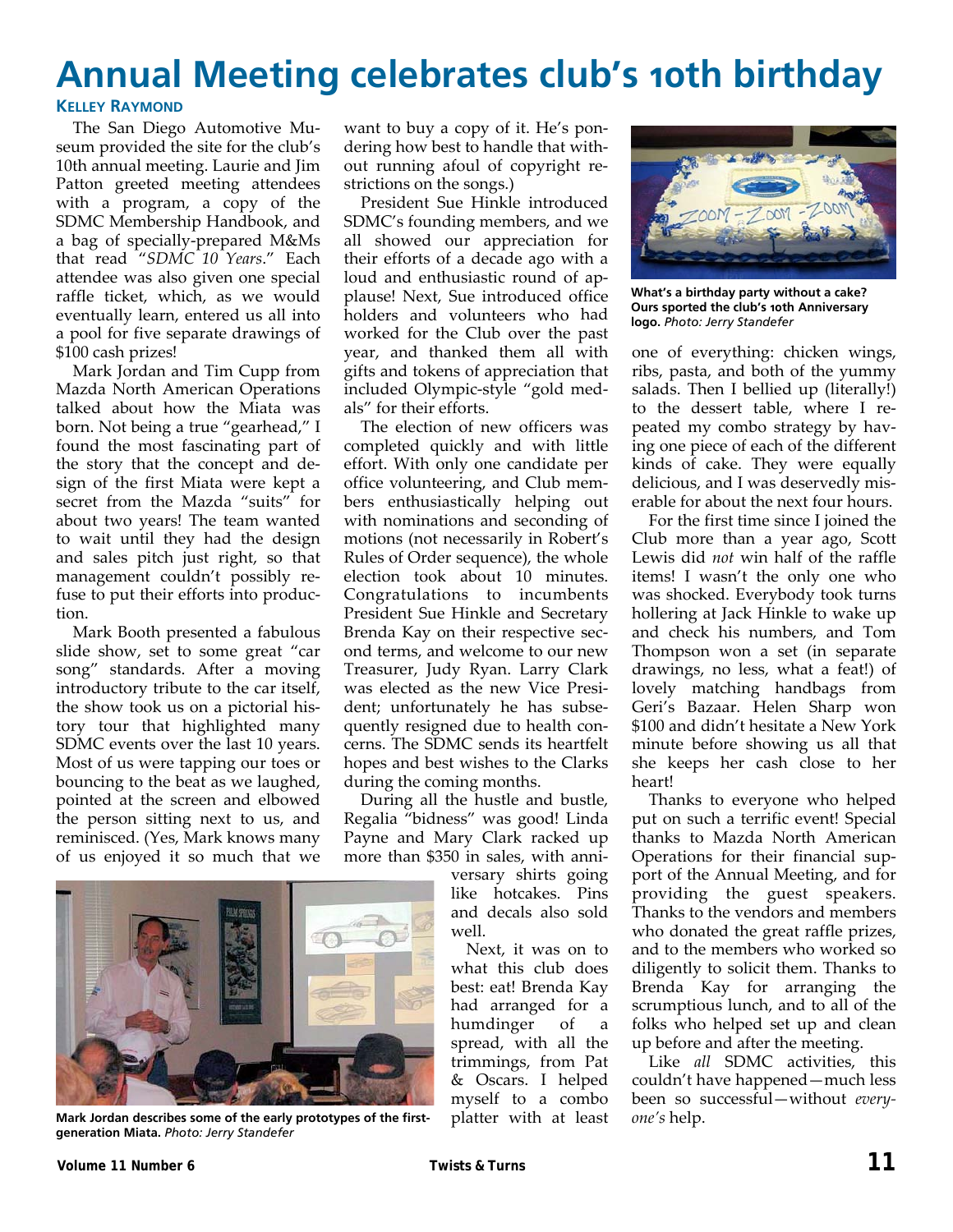# **Annual Meeting celebrates club's 10th birthday**

#### **KELLEY RAYMOND**

The San Diego Automotive Mu‐ seum provided the site for the club's 10th annual meeting. Laurie and Jim Patton greeted meeting attendees with a program, a copy of the SDMC Membership Handbook, and a bag of specially‐prepared M&Ms that read "*SDMC 10 Years*." Each attendee was also given one special raffle ticket, which, as we would eventually learn, entered us all into a pool for five separate drawings of \$100 cash prizes!

Mark Jordan and Tim Cupp from Mazda North American Operations talked about how the Miata was born. Not being a true "gearhead," I found the most fascinating part of the story that the concept and de‐ sign of the first Miata were kept a secret from the Mazda "suits" for about two years! The team wanted to wait until they had the design and sales pitch just right, so that management couldn't possibly re‐ fuse to put their efforts into produc‐ tion.

Mark Booth presented a fabulous slide show, set to some great "car song" standards. After a moving introductory tribute to the car itself, the show took us on a pictorial his‐ tory tour that highlighted many SDMC events over the last 10 years. Most of us were tapping our toes or bouncing to the beat as we laughed, pointed at the screen and elbowed the person sitting next to us, and reminisced. (Yes, Mark knows many of us enjoyed it so much that we want to buy a copy of it. He's pon‐ dering how best to handle that with‐ out running afoul of copyright re‐ strictions on the songs.)

President Sue Hinkle introduced SDMC's founding members, and we all showed our appreciation for their efforts of a decade ago with a loud and enthusiastic round of ap‐ plause! Next, Sue introduced office holders and volunteers who had worked for the Club over the past year, and thanked them all with gifts and tokens of appreciation that included Olympic‐style "gold med‐ als" for their efforts.

The election of new officers was completed quickly and with little effort. With only one candidate per office volunteering, and Club mem‐ bers enthusiastically helping out with nominations and seconding of motions (not necessarily in Robert's Rules of Order sequence), the whole election took about 10 minutes. Congratulations to incumbents President Sue Hinkle and Secretary Brenda Kay on their respective sec‐ ond terms, and welcome to our new Treasurer, Judy Ryan. Larry Clark was elected as the new Vice Presi‐ dent; unfortunately he has subsequently resigned due to health con‐ cerns. The SDMC sends its heartfelt hopes and best wishes to the Clarks during the coming months.

During all the hustle and bustle, Regalia "bidness" was good! Linda Payne and Mary Clark racked up more than \$350 in sales, with anni‐

versary shirts going like hotcakes. Pins and decals also sold well.

Next, it was on to what this club does best: eat! Brenda Kay had arranged for a humdinger of a spread, with all the trimmings, from Pat & Oscars. I helped myself to a combo platter with at least

![](_page_10_Picture_11.jpeg)

**What's a birthday party without a cake? Ours sported the club's 10th Anniversary logo.** *Photo: Jerry Standefer* 

one of everything: chicken wings, ribs, pasta, and both of the yummy salads. Then I bellied up (literally!) to the dessert table, where I re‐ peated my combo strategy by hav‐ ing one piece of each of the different kinds of cake. They were equally delicious, and I was deservedly mis‐ erable for about the next four hours.

For the first time since I joined the Club more than a year ago, Scott Lewis did *not* win half of the raffle items! I wasn't the only one who was shocked. Everybody took turns hollering at Jack Hinkle to wake up and check his numbers, and Tom Thompson won a set (in separate drawings, no less, what a feat!) of lovely matching handbags from Geri's Bazaar. Helen Sharp won \$100 and didn't hesitate a New York minute before showing us all that she keeps her cash close to her heart!

Thanks to everyone who helped put on such a terrific event! Special thanks to Mazda North American Operations for their financial sup‐ port of the Annual Meeting, and for providing the guest speakers. Thanks to the vendors and members who donated the great raffle prizes, and to the members who worked so diligently to solicit them. Thanks to Brenda Kay for arranging the scrumptious lunch, and to all of the folks who helped set up and clean up before and after the meeting.

Like *all* SDMC activities, this couldn't have happened—much less been so successful—without *every‐ one's* help.

![](_page_10_Picture_17.jpeg)

**Mark Jordan describes some of the early prototypes of the firstgeneration Miata.** *Photo: Jerry Standefer*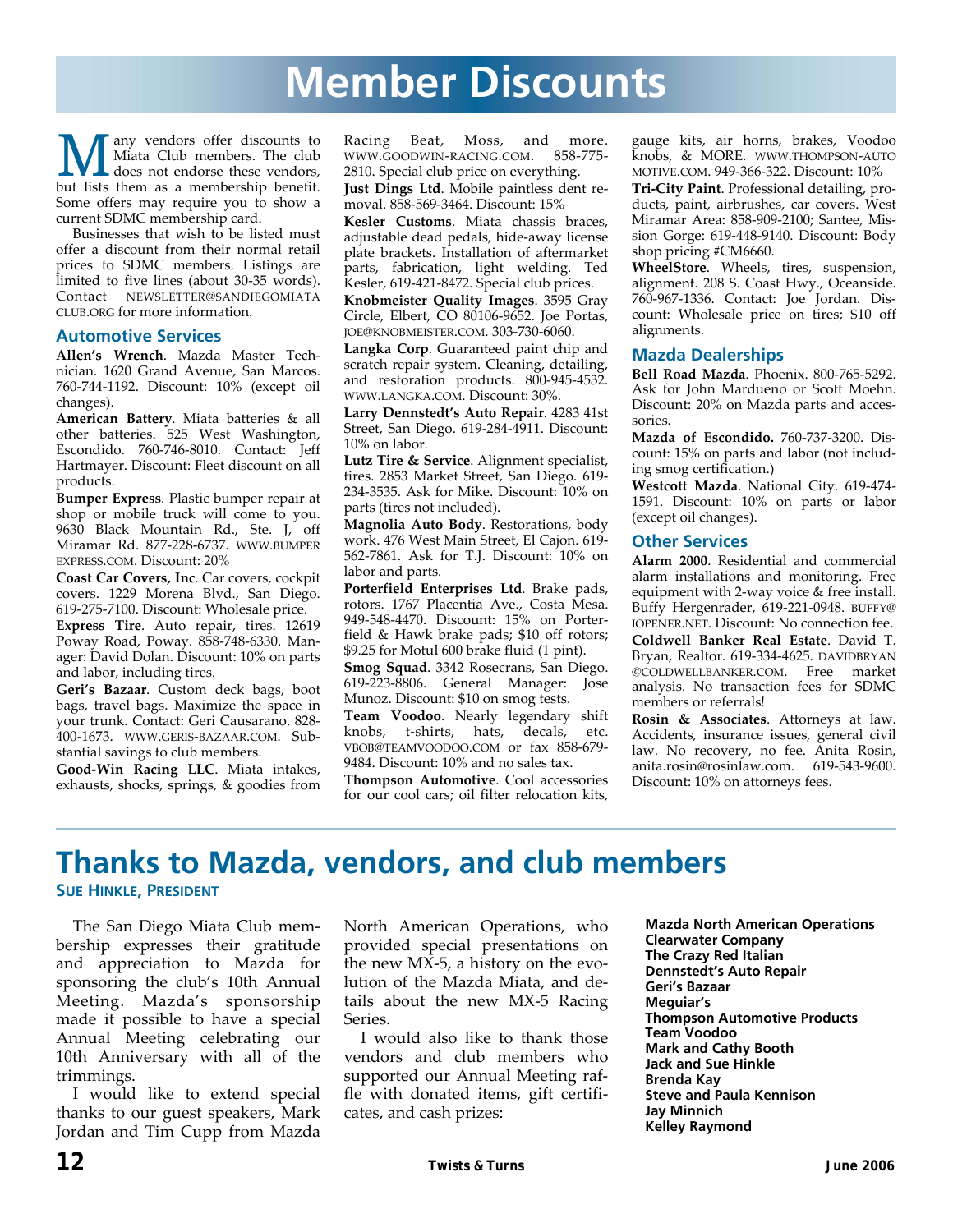# **Member Discounts**

**M** any vendors offer discounts to<br>does not endorse these vendors,<br>but lists them a a mombarchin bonofit Miata Club members. The club but lists them as a membership benefit. Some offers may require you to show a current SDMC membership card.

Businesses that wish to be listed must offer a discount from their normal retail prices to SDMC members. Listings are limited to five lines (about 30‐35 words). Contact NEWSLETTER@SANDIEGOMIATA CLUB.ORG for more information.

#### **Automotive Services**

**Allen's Wrench**. Mazda Master Tech‐ nician. 1620 Grand Avenue, San Marcos. 760‐744‐1192. Discount: 10% (except oil changes).

**American Battery**. Miata batteries & all other batteries. 525 West Washington, Escondido. 760‐746‐8010. Contact: Jeff Hartmayer. Discount: Fleet discount on all products.

**Bumper Express**. Plastic bumper repair at shop or mobile truck will come to you. 9630 Black Mountain Rd., Ste. J, off Miramar Rd. 877‐228‐6737. WWW.BUMPER EXPRESS.COM. Discount: 20%

**Coast Car Covers, Inc**. Car covers, cockpit covers. 1229 Morena Blvd., San Diego. 619‐275‐7100. Discount: Wholesale price.

**Express Tire**. Auto repair, tires. 12619 Poway Road, Poway. 858‐748‐6330. Man‐ ager: David Dolan. Discount: 10% on parts and labor, including tires.

**Geri's Bazaar**. Custom deck bags, boot bags, travel bags. Maximize the space in your trunk. Contact: Geri Causarano. 828‐ 400‐1673. WWW.GERIS‐BAZAAR.COM. Sub‐ stantial savings to club members.

**Good‐Win Racing LLC**. Miata intakes, exhausts, shocks, springs, & goodies from Racing Beat, Moss, and more. WWW.GOODWIN‐RACING.COM. 858‐775‐ 2810. Special club price on everything.

**Just Dings Ltd**. Mobile paintless dent re‐ moval. 858‐569‐3464. Discount: 15%

**Kesler Customs**. Miata chassis braces, adjustable dead pedals, hide‐away license plate brackets. Installation of aftermarket parts, fabrication, light welding. Ted Kesler, 619‐421‐8472. Special club prices.

**Knobmeister Quality Images**. 3595 Gray Circle, Elbert, CO 80106‐9652. Joe Portas, JOE@KNOBMEISTER.COM. 303‐730‐6060.

**Langka Corp**. Guaranteed paint chip and scratch repair system. Cleaning, detailing, and restoration products. 800‐945‐4532. WWW.LANGKA.COM. Discount: 30%.

**Larry Dennstedt's Auto Repair**. 4283 41st Street, San Diego. 619‐284‐4911. Discount: 10% on labor.

**Lutz Tire & Service**. Alignment specialist, tires. 2853 Market Street, San Diego. 619‐ 234‐3535. Ask for Mike. Discount: 10% on parts (tires not included).

**Magnolia Auto Body**. Restorations, body work. 476 West Main Street, El Cajon. 619‐ 562‐7861. Ask for T.J. Discount: 10% on labor and parts.

**Porterfield Enterprises Ltd**. Brake pads, rotors. 1767 Placentia Ave., Costa Mesa. 949‐548‐4470. Discount: 15% on Porter‐ field & Hawk brake pads; \$10 off rotors; \$9.25 for Motul 600 brake fluid (1 pint).

**Smog Squad**. 3342 Rosecrans, San Diego. 619‐223‐8806. General Manager: Jose Munoz. Discount: \$10 on smog tests.

**Team Voodoo**. Nearly legendary shift knobs, t‐shirts, hats, decals, etc. VBOB@TEAMVOODOO.COM or fax 858‐679‐ 9484. Discount: 10% and no sales tax.

**Thompson Automotive**. Cool accessories for our cool cars; oil filter relocation kits,

gauge kits, air horns, brakes, Voodoo knobs, & MORE. WWW.THOMPSON‐AUTO MOTIVE.COM. 949‐366‐322. Discount: 10%

**Tri‐City Paint**. Professional detailing, pro‐ ducts, paint, airbrushes, car covers. West Miramar Area: 858‐909‐2100; Santee, Mis‐ sion Gorge: 619‐448‐9140. Discount: Body shop pricing #CM6660.

**WheelStore**. Wheels, tires, suspension, alignment. 208 S. Coast Hwy., Oceanside. 760‐967‐1336. Contact: Joe Jordan. Dis‐ count: Wholesale price on tires; \$10 off alignments.

#### **Mazda Dealerships**

**Bell Road Mazda**. Phoenix. 800‐765‐5292. Ask for John Mardueno or Scott Moehn. Discount: 20% on Mazda parts and acces‐ sories.

**Mazda of Escondido.** 760‐737‐3200. Dis‐ count: 15% on parts and labor (not includ‐ ing smog certification.)

**Westcott Mazda**. National City. 619‐474‐ 1591. Discount: 10% on parts or labor (except oil changes).

#### **Other Services**

**Alarm 2000**. Residential and commercial alarm installations and monitoring. Free equipment with 2‐way voice & free install. Buffy Hergenrader, 619‐221‐0948. BUFFY@ IOPENER.NET. Discount: No connection fee.

**Coldwell Banker Real Estate**. David T. Bryan, Realtor. 619‐334‐4625. DAVIDBRYAN @COLDWELLBANKER.COM. Free market analysis. No transaction fees for SDMC members or referrals!

**Rosin & Associates**. Attorneys at law. Accidents, insurance issues, general civil law. No recovery, no fee. Anita Rosin, anita.rosin@rosinlaw.com. 619‐543‐9600. Discount: 10% on attorneys fees.

## **Thanks to Mazda, vendors, and club members**

**SUE HINKLE, PRESIDENT**

The San Diego Miata Club mem‐ bership expresses their gratitude and appreciation to Mazda for sponsoring the club's 10th Annual Meeting. Mazda's sponsorship made it possible to have a special Annual Meeting celebrating our 10th Anniversary with all of the trimmings.

I would like to extend special thanks to our guest speakers, Mark Jordan and Tim Cupp from Mazda North American Operations, who provided special presentations on the new MX‐5, a history on the evo‐ lution of the Mazda Miata, and de‐ tails about the new MX‐5 Racing Series.

I would also like to thank those vendors and club members who supported our Annual Meeting raf‐ fle with donated items, gift certifi‐ cates, and cash prizes:

**Mazda North American Operations Clearwater Company The Crazy Red Italian Dennstedt's Auto Repair Geri's Bazaar Meguiar's Thompson Automotive Products Team Voodoo Mark and Cathy Booth Jack and Sue Hinkle Brenda Kay Steve and Paula Kennison Jay Minnich Kelley Raymond**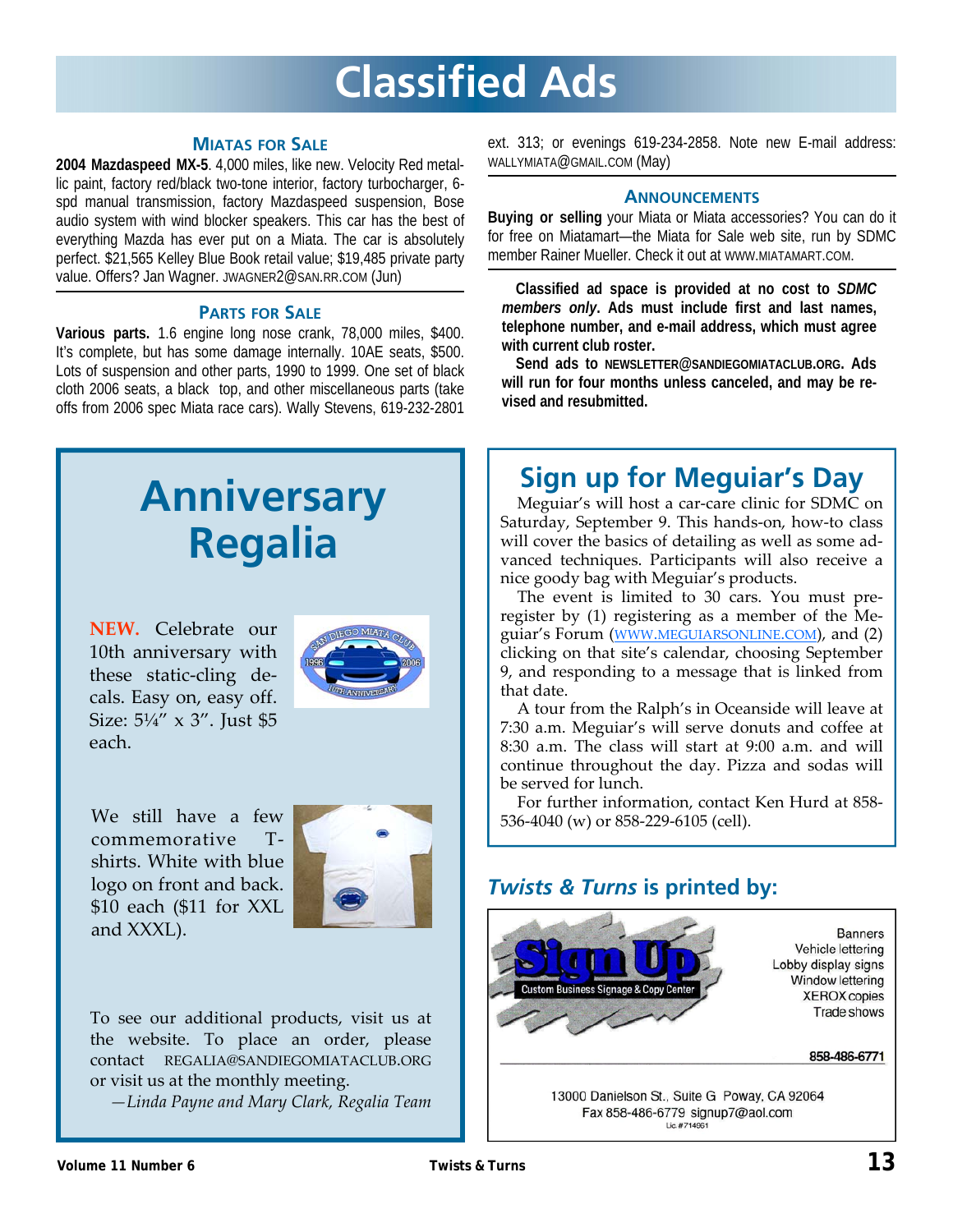# **Classified Ads**

#### **MIATAS FOR SALE**

**2004 Mazdaspeed MX-5**. 4,000 miles, like new. Velocity Red metallic paint, factory red/black two-tone interior, factory turbocharger, 6 spd manual transmission, factory Mazdaspeed suspension, Bose audio system with wind blocker speakers. This car has the best of everything Mazda has ever put on a Miata. The car is absolutely perfect. \$21,565 Kelley Blue Book retail value; \$19,485 private party value. Offers? Jan Wagner. JWAGNER2@SAN.RR.COM (Jun)

#### **PARTS FOR SALE**

**Various parts.** 1.6 engine long nose crank, 78,000 miles, \$400. It's complete, but has some damage internally. 10AE seats, \$500. Lots of suspension and other parts, 1990 to 1999. One set of black cloth 2006 seats, a black top, and other miscellaneous parts (take offs from 2006 spec Miata race cars). Wally Stevens, 619-232-2801

# **Anniversary Regalia**

**NEW.** Celebrate our 10th anniversary with these static‐cling de‐ cals. Easy on, easy off. Size: 5¼" x 3". Just \$5 each.

![](_page_12_Picture_7.jpeg)

We still have a few commemorative T‐ shirts. White with blue logo on front and back. \$10 each (\$11 for XXL and XXXL).

![](_page_12_Picture_9.jpeg)

To see our additional products, visit us at the website. To place an order, please contact REGALIA@SANDIEGOMIATACLUB.ORG or visit us at the monthly meeting.

*—Linda Payne and Mary Clark, Regalia Team*

ext. 313; or evenings 619-234-2858. Note new E-mail address: WALLYMIATA@GMAIL.COM (May)

#### **ANNOUNCEMENTS**

**Buying or selling** your Miata or Miata accessories? You can do it for free on Miatamart—the Miata for Sale web site, run by SDMC member Rainer Mueller. Check it out at WWW.MIATAMART.COM.

**Classified ad space is provided at no cost to** *SDMC members only***. Ads must include first and last names, telephone number, and e-mail address, which must agree with current club roster.** 

**Send ads to NEWSLETTER@SANDIEGOMIATACLUB.ORG. Ads will run for four months unless canceled, and may be revised and resubmitted.** 

## **Sign up for Meguiar's Day**

Meguiar's will host a car-care clinic for SDMC on Saturday, September 9. This hands‐on, how‐to class will cover the basics of detailing as well as some advanced techniques. Participants will also receive a nice goody bag with Meguiar's products.

The event is limited to 30 cars. You must pre‐ register by (1) registering as a member of the Me‐ guiar's Forum (WWW.MEGUIARSONLINE.COM), and (2) clicking on that site's calendar, choosing September 9, and responding to a message that is linked from that date.

A tour from the Ralph's in Oceanside will leave at 7:30 a.m. Meguiar's will serve donuts and coffee at 8:30 a.m. The class will start at 9:00 a.m. and will continue throughout the day. Pizza and sodas will be served for lunch.

For further information, contact Ken Hurd at 858‐ 536-4040 (w) or 858-229-6105 (cell).

### *Twists & Turns* **is printed by:**

![](_page_12_Picture_23.jpeg)

13000 Danielson St., Suite G Poway, CA 92064 Fax 858-486-6779 signup7@aol.com Lic.#714961